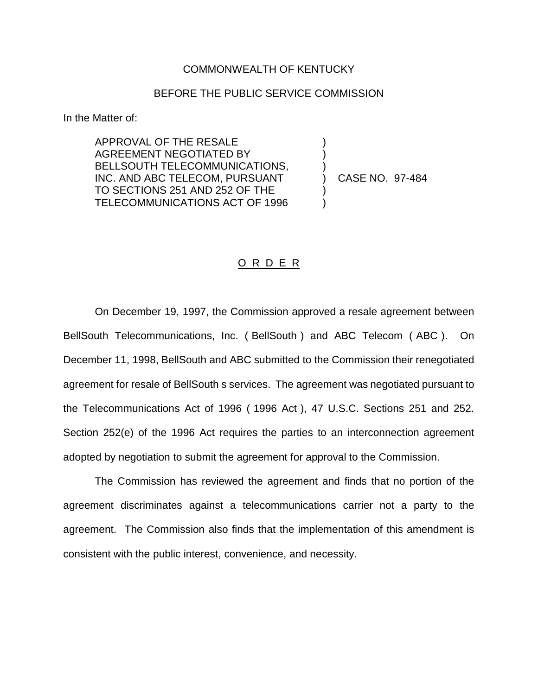## COMMONWEALTH OF KENTUCKY

## BEFORE THE PUBLIC SERVICE COMMISSION

) ) )

) )

In the Matter of:

APPROVAL OF THE RESALE AGREEMENT NEGOTIATED BY BELLSOUTH TELECOMMUNICATIONS, INC. AND ABC TELECOM, PURSUANT TO SECTIONS 251 AND 252 OF THE TELECOMMUNICATIONS ACT OF 1996

) CASE NO. 97-484

## O R D E R

On December 19, 1997, the Commission approved a resale agreement between BellSouth Telecommunications, Inc. ( BellSouth ) and ABC Telecom ( ABC ). On December 11, 1998, BellSouth and ABC submitted to the Commission their renegotiated agreement for resale of BellSouth s services. The agreement was negotiated pursuant to the Telecommunications Act of 1996 ( 1996 Act ), 47 U.S.C. Sections 251 and 252. Section 252(e) of the 1996 Act requires the parties to an interconnection agreement adopted by negotiation to submit the agreement for approval to the Commission.

The Commission has reviewed the agreement and finds that no portion of the agreement discriminates against a telecommunications carrier not a party to the agreement. The Commission also finds that the implementation of this amendment is consistent with the public interest, convenience, and necessity.